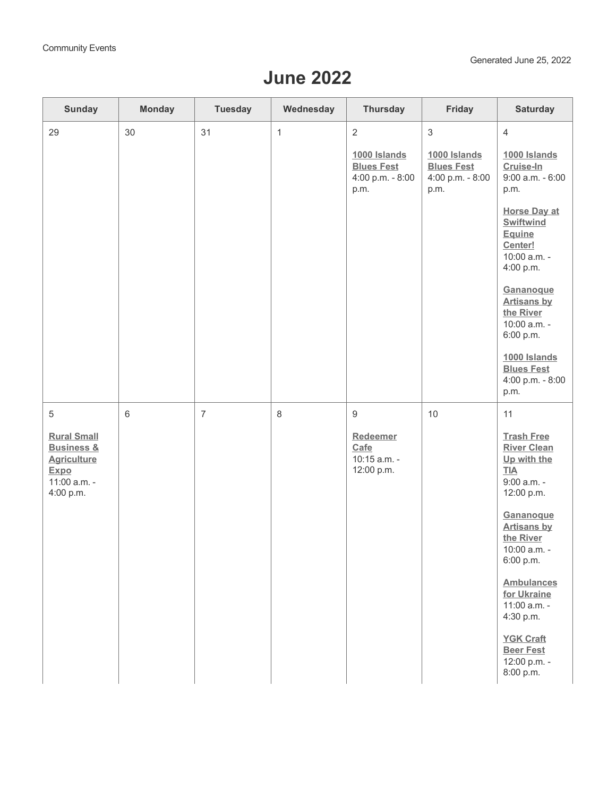## **June 2022**

| <b>Sunday</b>                                                                                          | <b>Monday</b> | <b>Tuesday</b> | Wednesday    | <b>Thursday</b>                                               | Friday                                                        | <b>Saturday</b>                                                                              |
|--------------------------------------------------------------------------------------------------------|---------------|----------------|--------------|---------------------------------------------------------------|---------------------------------------------------------------|----------------------------------------------------------------------------------------------|
| 29                                                                                                     | 30            | 31             | $\mathbf{1}$ | 2                                                             | $\sqrt{3}$                                                    | $\overline{4}$                                                                               |
|                                                                                                        |               |                |              | 1000 Islands<br><b>Blues Fest</b><br>4:00 p.m. - 8:00<br>p.m. | 1000 Islands<br><b>Blues Fest</b><br>4:00 p.m. - 8:00<br>p.m. | 1000 Islands<br>Cruise-In<br>$9:00$ a.m. $-6:00$<br>p.m.                                     |
|                                                                                                        |               |                |              |                                                               |                                                               | <b>Horse Day at</b><br><b>Swiftwind</b><br>Equine<br>Center!<br>10:00 a.m. -<br>4:00 p.m.    |
|                                                                                                        |               |                |              |                                                               |                                                               | Gananoque<br><b>Artisans by</b><br>the River<br>10:00 a.m. -<br>6:00 p.m.                    |
|                                                                                                        |               |                |              |                                                               |                                                               | 1000 Islands<br><b>Blues Fest</b><br>4:00 p.m. - 8:00<br>p.m.                                |
| 5                                                                                                      | $6\,$         | $\overline{7}$ | 8            | 9                                                             | 10                                                            | 11                                                                                           |
| <b>Rural Small</b><br><b>Business &amp;</b><br><b>Agriculture</b><br>Expo<br>11:00 a.m. -<br>4:00 p.m. |               |                |              | Redeemer<br>Cafe<br>10:15 a.m. -<br>12:00 p.m.                |                                                               | <b>Trash Free</b><br><b>River Clean</b><br>Up with the<br>$IIA$<br>9:00 a.m. -<br>12:00 p.m. |
|                                                                                                        |               |                |              |                                                               |                                                               | Gananoque<br><b>Artisans by</b><br>the River<br>10:00 a.m. -<br>6:00 p.m.                    |
|                                                                                                        |               |                |              |                                                               |                                                               | <b>Ambulances</b><br>for Ukraine<br>11:00 a.m. -<br>4:30 p.m.                                |
|                                                                                                        |               |                |              |                                                               |                                                               | <b>YGK Craft</b><br><b>Beer Fest</b><br>12:00 p.m. -<br>8:00 p.m.                            |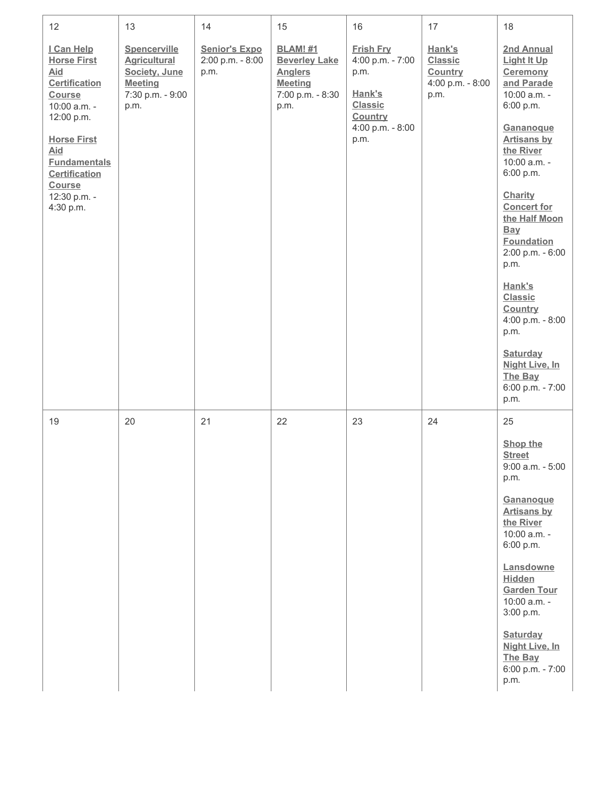| 12                                                                                                                                                                                                                         | 13                                                                                                 | 14                                               | 15                                                                                                      | 16                                                                                                              | 17                                                              | 18                                                                                                                                                                                                                                                                                                                                                                                                                                   |
|----------------------------------------------------------------------------------------------------------------------------------------------------------------------------------------------------------------------------|----------------------------------------------------------------------------------------------------|--------------------------------------------------|---------------------------------------------------------------------------------------------------------|-----------------------------------------------------------------------------------------------------------------|-----------------------------------------------------------------|--------------------------------------------------------------------------------------------------------------------------------------------------------------------------------------------------------------------------------------------------------------------------------------------------------------------------------------------------------------------------------------------------------------------------------------|
| I Can Help<br><b>Horse First</b><br>Aid<br><b>Certification</b><br>Course<br>10:00 a.m. -<br>12:00 p.m.<br><b>Horse First</b><br>Aid<br><b>Fundamentals</b><br><b>Certification</b><br>Course<br>12:30 p.m. -<br>4:30 p.m. | Spencerville<br><b>Agricultural</b><br>Society, June<br><b>Meeting</b><br>7:30 p.m. - 9:00<br>p.m. | <b>Senior's Expo</b><br>2:00 p.m. - 8:00<br>p.m. | <b>BLAM! #1</b><br><b>Beverley Lake</b><br><b>Anglers</b><br><b>Meeting</b><br>7:00 p.m. - 8:30<br>p.m. | <b>Frish Fry</b><br>4:00 p.m. - 7:00<br>p.m.<br>Hank's<br><b>Classic</b><br>Country<br>4:00 p.m. - 8:00<br>p.m. | Hank's<br><b>Classic</b><br>Country<br>4:00 p.m. - 8:00<br>p.m. | 2nd Annual<br><b>Light It Up</b><br>Ceremony<br>and Parade<br>10:00 a.m. -<br>6:00 p.m.<br>Gananoque<br><b>Artisans by</b><br>the River<br>10:00 a.m. -<br>6:00 p.m.<br>Charity<br><b>Concert for</b><br>the Half Moon<br><b>Bay</b><br><b>Foundation</b><br>2:00 p.m. - 6:00<br>p.m.<br>Hank's<br>Classic<br>Country<br>4:00 p.m. - 8:00<br>p.m.<br><b>Saturday</b><br><b>Night Live, In</b><br>The Bay<br>6:00 p.m. - 7:00<br>p.m. |
| 19                                                                                                                                                                                                                         | 20                                                                                                 | 21                                               | 22                                                                                                      | 23                                                                                                              | 24                                                              | 25<br>Shop the<br><b>Street</b><br>$9:00$ a.m. - $5:00$<br>p.m.<br>Gananoque<br><b>Artisans by</b><br>the River<br>10:00 a.m. -<br>6:00 p.m.<br>Lansdowne<br>Hidden<br><b>Garden Tour</b><br>10:00 a.m. -<br>3:00 p.m.<br>Saturday<br><b>Night Live, In</b><br>The Bay<br>6:00 p.m. - 7:00<br>p.m.                                                                                                                                   |